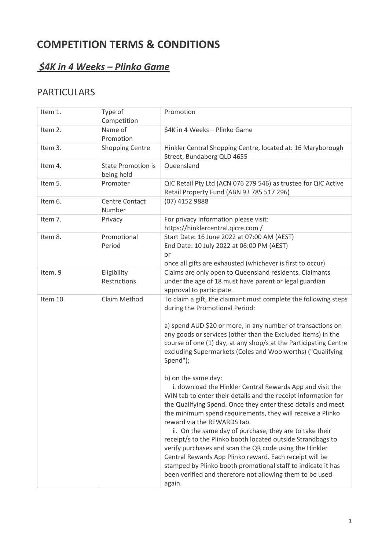# **COMPETITION TERMS & CONDITIONS**

## *\$4K in 4 Weeks – Plinko Game*

## PARTICULARS

| Item 1.  | Type of<br>Competition                  | Promotion                                                                                                                                                                                                                                                                                                                                                                                                                                                                                                                                                                                                                                                                                                                                                                                                                                                                                                                                                                                                                                                                               |
|----------|-----------------------------------------|-----------------------------------------------------------------------------------------------------------------------------------------------------------------------------------------------------------------------------------------------------------------------------------------------------------------------------------------------------------------------------------------------------------------------------------------------------------------------------------------------------------------------------------------------------------------------------------------------------------------------------------------------------------------------------------------------------------------------------------------------------------------------------------------------------------------------------------------------------------------------------------------------------------------------------------------------------------------------------------------------------------------------------------------------------------------------------------------|
| Item 2.  | Name of<br>Promotion                    | \$4K in 4 Weeks - Plinko Game                                                                                                                                                                                                                                                                                                                                                                                                                                                                                                                                                                                                                                                                                                                                                                                                                                                                                                                                                                                                                                                           |
| Item 3.  | <b>Shopping Centre</b>                  | Hinkler Central Shopping Centre, located at: 16 Maryborough<br>Street, Bundaberg QLD 4655                                                                                                                                                                                                                                                                                                                                                                                                                                                                                                                                                                                                                                                                                                                                                                                                                                                                                                                                                                                               |
| Item 4.  | <b>State Promotion is</b><br>being held | Queensland                                                                                                                                                                                                                                                                                                                                                                                                                                                                                                                                                                                                                                                                                                                                                                                                                                                                                                                                                                                                                                                                              |
| Item 5.  | Promoter                                | QIC Retail Pty Ltd (ACN 076 279 546) as trustee for QIC Active<br>Retail Property Fund (ABN 93 785 517 296)                                                                                                                                                                                                                                                                                                                                                                                                                                                                                                                                                                                                                                                                                                                                                                                                                                                                                                                                                                             |
| Item 6.  | <b>Centre Contact</b><br>Number         | (07) 4152 9888                                                                                                                                                                                                                                                                                                                                                                                                                                                                                                                                                                                                                                                                                                                                                                                                                                                                                                                                                                                                                                                                          |
| Item 7.  | Privacy                                 | For privacy information please visit:<br>https://hinklercentral.qicre.com/                                                                                                                                                                                                                                                                                                                                                                                                                                                                                                                                                                                                                                                                                                                                                                                                                                                                                                                                                                                                              |
| Item 8.  | Promotional<br>Period                   | Start Date: 16 June 2022 at 07:00 AM (AEST)<br>End Date: 10 July 2022 at 06:00 PM (AEST)<br>or<br>once all gifts are exhausted (whichever is first to occur)                                                                                                                                                                                                                                                                                                                                                                                                                                                                                                                                                                                                                                                                                                                                                                                                                                                                                                                            |
| Item. 9  | Eligibility<br>Restrictions             | Claims are only open to Queensland residents. Claimants<br>under the age of 18 must have parent or legal guardian<br>approval to participate.                                                                                                                                                                                                                                                                                                                                                                                                                                                                                                                                                                                                                                                                                                                                                                                                                                                                                                                                           |
| Item 10. | Claim Method                            | To claim a gift, the claimant must complete the following steps<br>during the Promotional Period:<br>a) spend AUD \$20 or more, in any number of transactions on<br>any goods or services (other than the Excluded Items) in the<br>course of one (1) day, at any shop/s at the Participating Centre<br>excluding Supermarkets (Coles and Woolworths) ("Qualifying<br>Spend");<br>b) on the same day:<br>i. download the Hinkler Central Rewards App and visit the<br>WIN tab to enter their details and the receipt information for<br>the Qualifying Spend. Once they enter these details and meet<br>the minimum spend requirements, they will receive a Plinko<br>reward via the REWARDS tab.<br>ii. On the same day of purchase, they are to take their<br>receipt/s to the Plinko booth located outside Strandbags to<br>verify purchases and scan the QR code using the Hinkler<br>Central Rewards App Plinko reward. Each receipt will be<br>stamped by Plinko booth promotional staff to indicate it has<br>been verified and therefore not allowing them to be used<br>again. |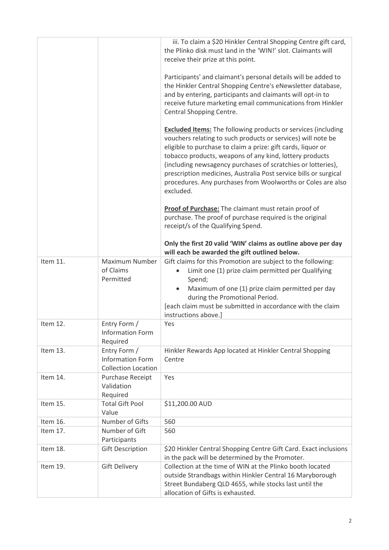|          |                                                                       | iii. To claim a \$20 Hinkler Central Shopping Centre gift card,<br>the Plinko disk must land in the 'WIN!' slot. Claimants will<br>receive their prize at this point.                                                                                                                                                                                                                                                                                                           |
|----------|-----------------------------------------------------------------------|---------------------------------------------------------------------------------------------------------------------------------------------------------------------------------------------------------------------------------------------------------------------------------------------------------------------------------------------------------------------------------------------------------------------------------------------------------------------------------|
|          |                                                                       | Participants' and claimant's personal details will be added to<br>the Hinkler Central Shopping Centre's eNewsletter database,<br>and by entering, participants and claimants will opt-in to<br>receive future marketing email communications from Hinkler<br>Central Shopping Centre.                                                                                                                                                                                           |
|          |                                                                       | <b>Excluded Items:</b> The following products or services (including<br>vouchers relating to such products or services) will note be<br>eligible to purchase to claim a prize: gift cards, liquor or<br>tobacco products, weapons of any kind, lottery products<br>(including newsagency purchases of scratchies or lotteries),<br>prescription medicines, Australia Post service bills or surgical<br>procedures. Any purchases from Woolworths or Coles are also<br>excluded. |
|          |                                                                       | <b>Proof of Purchase:</b> The claimant must retain proof of<br>purchase. The proof of purchase required is the original<br>receipt/s of the Qualifying Spend.                                                                                                                                                                                                                                                                                                                   |
|          |                                                                       | Only the first 20 valid 'WIN' claims as outline above per day<br>will each be awarded the gift outlined below.                                                                                                                                                                                                                                                                                                                                                                  |
| Item 11. | Maximum Number<br>of Claims<br>Permitted                              | Gift claims for this Promotion are subject to the following:<br>Limit one (1) prize claim permitted per Qualifying<br>Spend;<br>Maximum of one (1) prize claim permitted per day<br>during the Promotional Period.<br>[each claim must be submitted in accordance with the claim<br>instructions above.]                                                                                                                                                                        |
| Item 12. | Entry Form /<br><b>Information Form</b><br>Required                   | Yes                                                                                                                                                                                                                                                                                                                                                                                                                                                                             |
| Item 13. | Entry Form /<br><b>Information Form</b><br><b>Collection Location</b> | Hinkler Rewards App located at Hinkler Central Shopping<br>Centre                                                                                                                                                                                                                                                                                                                                                                                                               |
| Item 14. | Purchase Receipt<br>Validation<br>Required                            | Yes                                                                                                                                                                                                                                                                                                                                                                                                                                                                             |
| Item 15. | <b>Total Gift Pool</b><br>Value                                       | \$11,200.00 AUD                                                                                                                                                                                                                                                                                                                                                                                                                                                                 |
| Item 16. | Number of Gifts                                                       | 560                                                                                                                                                                                                                                                                                                                                                                                                                                                                             |
| Item 17. | Number of Gift<br>Participants                                        | 560                                                                                                                                                                                                                                                                                                                                                                                                                                                                             |
| Item 18. | <b>Gift Description</b>                                               | \$20 Hinkler Central Shopping Centre Gift Card. Exact inclusions<br>in the pack will be determined by the Promoter.                                                                                                                                                                                                                                                                                                                                                             |
| Item 19. | <b>Gift Delivery</b>                                                  | Collection at the time of WIN at the Plinko booth located<br>outside Strandbags within Hinkler Central 16 Maryborough<br>Street Bundaberg QLD 4655, while stocks last until the<br>allocation of Gifts is exhausted.                                                                                                                                                                                                                                                            |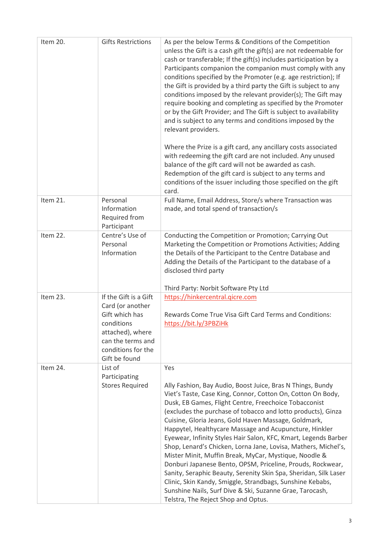| Item 20. | <b>Gifts Restrictions</b>                                                                                                                                 | As per the below Terms & Conditions of the Competition<br>unless the Gift is a cash gift the gift(s) are not redeemable for<br>cash or transferable; If the gift(s) includes participation by a<br>Participants companion the companion must comply with any<br>conditions specified by the Promoter (e.g. age restriction); If<br>the Gift is provided by a third party the Gift is subject to any<br>conditions imposed by the relevant provider(s); The Gift may<br>require booking and completing as specified by the Promoter<br>or by the Gift Provider; and The Gift is subject to availability<br>and is subject to any terms and conditions imposed by the<br>relevant providers.<br>Where the Prize is a gift card, any ancillary costs associated<br>with redeeming the gift card are not included. Any unused<br>balance of the gift card will not be awarded as cash.<br>Redemption of the gift card is subject to any terms and<br>conditions of the issuer including those specified on the gift<br>card. |
|----------|-----------------------------------------------------------------------------------------------------------------------------------------------------------|--------------------------------------------------------------------------------------------------------------------------------------------------------------------------------------------------------------------------------------------------------------------------------------------------------------------------------------------------------------------------------------------------------------------------------------------------------------------------------------------------------------------------------------------------------------------------------------------------------------------------------------------------------------------------------------------------------------------------------------------------------------------------------------------------------------------------------------------------------------------------------------------------------------------------------------------------------------------------------------------------------------------------|
| Item 21. | Personal<br>Information<br>Required from<br>Participant                                                                                                   | Full Name, Email Address, Store/s where Transaction was<br>made, and total spend of transaction/s                                                                                                                                                                                                                                                                                                                                                                                                                                                                                                                                                                                                                                                                                                                                                                                                                                                                                                                        |
| Item 22. | Centre's Use of<br>Personal<br>Information                                                                                                                | Conducting the Competition or Promotion; Carrying Out<br>Marketing the Competition or Promotions Activities; Adding<br>the Details of the Participant to the Centre Database and<br>Adding the Details of the Participant to the database of a<br>disclosed third party<br>Third Party: Norbit Software Pty Ltd                                                                                                                                                                                                                                                                                                                                                                                                                                                                                                                                                                                                                                                                                                          |
| Item 23. | If the Gift is a Gift<br>Card (or another<br>Gift which has<br>conditions<br>attached), where<br>can the terms and<br>conditions for the<br>Gift be found | https://hinkercentral.qicre.com<br>Rewards Come True Visa Gift Card Terms and Conditions:<br>https://bit.ly/3PBZiHk                                                                                                                                                                                                                                                                                                                                                                                                                                                                                                                                                                                                                                                                                                                                                                                                                                                                                                      |
| Item 24. | List of<br>Participating<br><b>Stores Required</b>                                                                                                        | Yes<br>Ally Fashion, Bay Audio, Boost Juice, Bras N Things, Bundy<br>Viet's Taste, Case King, Connor, Cotton On, Cotton On Body,<br>Dusk, EB Games, Flight Centre, Freechoice Tobacconist<br>(excludes the purchase of tobacco and lotto products), Ginza<br>Cuisine, Gloria Jeans, Gold Haven Massage, Goldmark,<br>Happytel, Healthycare Massage and Acupuncture, Hinkler<br>Eyewear, Infinity Styles Hair Salon, KFC, Kmart, Legends Barber<br>Shop, Lenard's Chicken, Lorna Jane, Lovisa, Mathers, Michel's,<br>Mister Minit, Muffin Break, MyCar, Mystique, Noodle &<br>Donburi Japanese Bento, OPSM, Priceline, Prouds, Rockwear,<br>Sanity, Seraphic Beauty, Serenity Skin Spa, Sheridan, Silk Laser<br>Clinic, Skin Kandy, Smiggle, Strandbags, Sunshine Kebabs,<br>Sunshine Nails, Surf Dive & Ski, Suzanne Grae, Tarocash,<br>Telstra, The Reject Shop and Optus.                                                                                                                                              |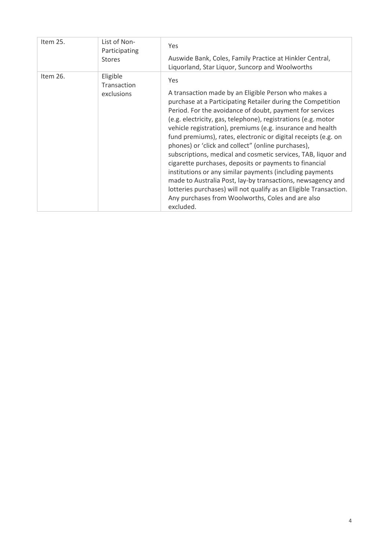| Item 25. | List of Non-<br>Participating<br><b>Stores</b> | <b>Yes</b><br>Auswide Bank, Coles, Family Practice at Hinkler Central,<br>Liquorland, Star Liquor, Suncorp and Woolworths                                                                                                                                                                                                                                                                                                                                                                                                                                                                                                                                                                                                                                                                                                                         |
|----------|------------------------------------------------|---------------------------------------------------------------------------------------------------------------------------------------------------------------------------------------------------------------------------------------------------------------------------------------------------------------------------------------------------------------------------------------------------------------------------------------------------------------------------------------------------------------------------------------------------------------------------------------------------------------------------------------------------------------------------------------------------------------------------------------------------------------------------------------------------------------------------------------------------|
| Item 26. | Eligible<br>Transaction<br>exclusions          | <b>Yes</b><br>A transaction made by an Eligible Person who makes a<br>purchase at a Participating Retailer during the Competition<br>Period. For the avoidance of doubt, payment for services<br>(e.g. electricity, gas, telephone), registrations (e.g. motor<br>vehicle registration), premiums (e.g. insurance and health<br>fund premiums), rates, electronic or digital receipts (e.g. on<br>phones) or 'click and collect" (online purchases),<br>subscriptions, medical and cosmetic services, TAB, liquor and<br>cigarette purchases, deposits or payments to financial<br>institutions or any similar payments (including payments<br>made to Australia Post, lay-by transactions, newsagency and<br>lotteries purchases) will not qualify as an Eligible Transaction.<br>Any purchases from Woolworths, Coles and are also<br>excluded. |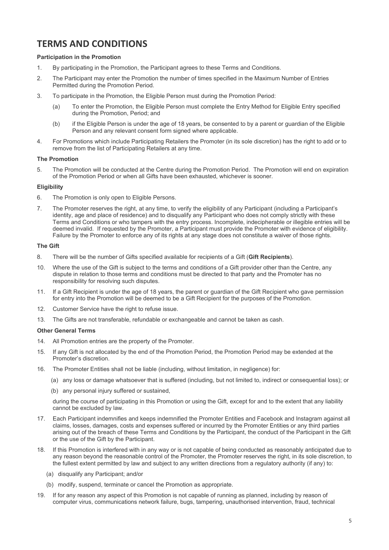### **TERMS AND CONDITIONS**

#### **Participation in the Promotion**

- 1. By participating in the Promotion, the Participant agrees to these Terms and Conditions.
- 2. The Participant may enter the Promotion the number of times specified in the Maximum Number of Entries Permitted during the Promotion Period.
- 3. To participate in the Promotion, the Eligible Person must during the Promotion Period:
	- (a) To enter the Promotion, the Eligible Person must complete the Entry Method for Eligible Entry specified during the Promotion, Period; and
	- (b) if the Eligible Person is under the age of 18 years, be consented to by a parent or guardian of the Eligible Person and any relevant consent form signed where applicable.
- 4. For Promotions which include Participating Retailers the Promoter (in its sole discretion) has the right to add or to remove from the list of Participating Retailers at any time.

#### **The Promotion**

5. The Promotion will be conducted at the Centre during the Promotion Period. The Promotion will end on expiration of the Promotion Period or when all Gifts have been exhausted, whichever is sooner.

#### **Eligibility**

- 6. The Promotion is only open to Eligible Persons.
- 7. The Promoter reserves the right, at any time, to verify the eligibility of any Participant (including a Participant's identity, age and place of residence) and to disqualify any Participant who does not comply strictly with these Terms and Conditions or who tampers with the entry process. Incomplete, indecipherable or illegible entries will be deemed invalid. If requested by the Promoter, a Participant must provide the Promoter with evidence of eligibility. Failure by the Promoter to enforce any of its rights at any stage does not constitute a waiver of those rights.

#### **The Gift**

- 8. There will be the number of Gifts specified available for recipients of a Gift (**Gift Recipients**).
- 10. Where the use of the Gift is subject to the terms and conditions of a Gift provider other than the Centre, any dispute in relation to those terms and conditions must be directed to that party and the Promoter has no responsibility for resolving such disputes.
- 11. If a Gift Recipient is under the age of 18 years, the parent or guardian of the Gift Recipient who gave permission for entry into the Promotion will be deemed to be a Gift Recipient for the purposes of the Promotion.
- 12. Customer Service have the right to refuse issue.
- 13. The Gifts are not transferable, refundable or exchangeable and cannot be taken as cash.

#### **Other General Terms**

- 14. All Promotion entries are the property of the Promoter.
- 15. If any Gift is not allocated by the end of the Promotion Period, the Promotion Period may be extended at the Promoter's discretion.
- 16. The Promoter Entities shall not be liable (including, without limitation, in negligence) for:
	- (a) any loss or damage whatsoever that is suffered (including, but not limited to, indirect or consequential loss); or
	- (b) any personal injury suffered or sustained,

during the course of participating in this Promotion or using the Gift, except for and to the extent that any liability cannot be excluded by law.

- 17. Each Participant indemnifies and keeps indemnified the Promoter Entities and Facebook and Instagram against all claims, losses, damages, costs and expenses suffered or incurred by the Promoter Entities or any third parties arising out of the breach of these Terms and Conditions by the Participant, the conduct of the Participant in the Gift or the use of the Gift by the Participant.
- 18. If this Promotion is interfered with in any way or is not capable of being conducted as reasonably anticipated due to any reason beyond the reasonable control of the Promoter, the Promoter reserves the right, in its sole discretion, to the fullest extent permitted by law and subject to any written directions from a regulatory authority (if any) to:
	- (a) disqualify any Participant; and/or
	- (b) modify, suspend, terminate or cancel the Promotion as appropriate.
- 19. If for any reason any aspect of this Promotion is not capable of running as planned, including by reason of computer virus, communications network failure, bugs, tampering, unauthorised intervention, fraud, technical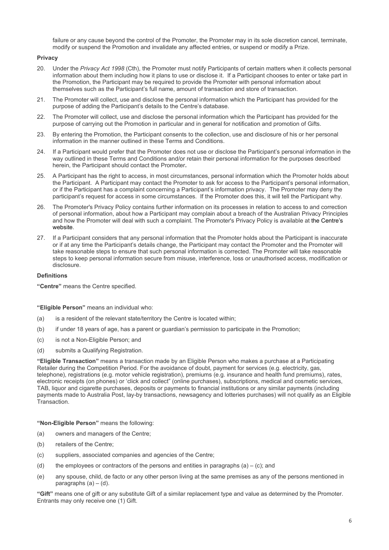failure or any cause beyond the control of the Promoter, the Promoter may in its sole discretion cancel, terminate, modify or suspend the Promotion and invalidate any affected entries, or suspend or modify a Prize.

#### **Privacy**

- 20. Under the *Privacy Act 1998* (Cth), the Promoter must notify Participants of certain matters when it collects personal information about them including how it plans to use or disclose it. If a Participant chooses to enter or take part in the Promotion, the Participant may be required to provide the Promoter with personal information about themselves such as the Participant's full name, amount of transaction and store of transaction.
- 21. The Promoter will collect, use and disclose the personal information which the Participant has provided for the purpose of adding the Participant's details to the Centre's database.
- 22. The Promoter will collect, use and disclose the personal information which the Participant has provided for the purpose of carrying out the Promotion in particular and in general for notification and promotion of Gifts.
- 23. By entering the Promotion, the Participant consents to the collection, use and disclosure of his or her personal information in the manner outlined in these Terms and Conditions.
- 24. If a Participant would prefer that the Promoter does not use or disclose the Participant's personal information in the way outlined in these Terms and Conditions and/or retain their personal information for the purposes described herein, the Participant should contact the Promoter**.**
- 25. A Participant has the right to access, in most circumstances, personal information which the Promoter holds about the Participant. A Participant may contact the Promoter to ask for access to the Participant's personal information, or if the Participant has a complaint concerning a Participant's information privacy. The Promoter may deny the participant's request for access in some circumstances. If the Promoter does this, it will tell the Participant why.
- 26. The Promoter's Privacy Policy contains further information on its processes in relation to access to and correction of personal information, about how a Participant may complain about a breach of the Australian Privacy Principles and how the Promoter will deal with such a complaint. The Promoter's Privacy Policy is available a[t the Centre's](http://www.pacificwerribee.com.au/)  [website.](http://www.pacificwerribee.com.au/)
- 27. If a Participant considers that any personal information that the Promoter holds about the Participant is inaccurate or if at any time the Participant's details change, the Participant may contact the Promoter and the Promoter will take reasonable steps to ensure that such personal information is corrected. The Promoter will take reasonable steps to keep personal information secure from misuse, interference, loss or unauthorised access, modification or disclosure.

#### **Definitions**

**"Centre"** means the Centre specified.

**"Eligible Person"** means an individual who:

- (a) is a resident of the relevant state/territory the Centre is located within;
- (b) if under 18 years of age, has a parent or guardian's permission to participate in the Promotion;
- (c) is not a Non-Eligible Person; and
- (d) submits a Qualifying Registration.

**"Eligible Transaction"** means a transaction made by an Eligible Person who makes a purchase at a Participating Retailer during the Competition Period. For the avoidance of doubt, payment for services (e.g. electricity, gas, telephone), registrations (e.g. motor vehicle registration), premiums (e.g. insurance and health fund premiums), rates, electronic receipts (on phones) or 'click and collect" (online purchases), subscriptions, medical and cosmetic services, TAB, liquor and cigarette purchases, deposits or payments to financial institutions or any similar payments (including payments made to Australia Post, lay-by transactions, newsagency and lotteries purchases) will not qualify as an Eligible Transaction.

**"Non-Eligible Person"** means the following:

- (a) owners and managers of the Centre;
- (b) retailers of the Centre;
- (c) suppliers, associated companies and agencies of the Centre;
- (d) the employees or contractors of the persons and entities in paragraphs  $(a) (c)$ ; and
- (e) any spouse, child, de facto or any other person living at the same premises as any of the persons mentioned in paragraphs  $(a) - (d)$ .

**"Gift"** means one of gift or any substitute Gift of a similar replacement type and value as determined by the Promoter. Entrants may only receive one (1) Gift.